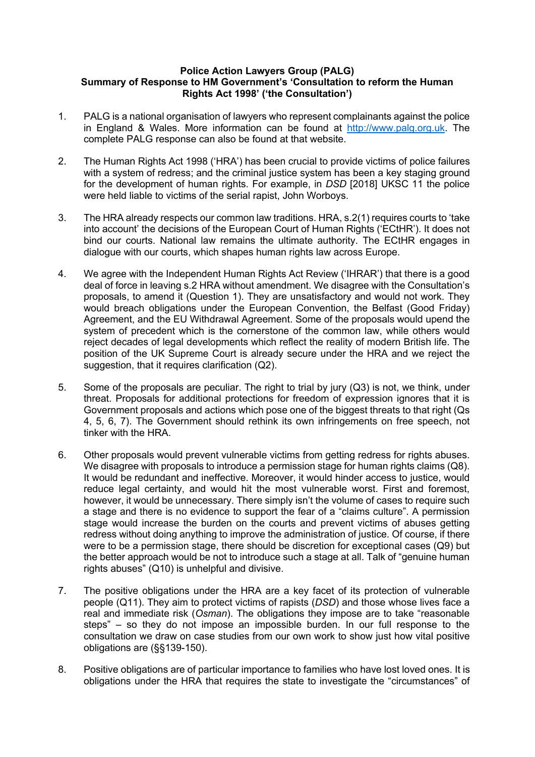## **Police Action Lawyers Group (PALG) Summary of Response to HM Government's 'Consultation to reform the Human Rights Act 1998' ('the Consultation')**

- 1. PALG is a national organisation of lawyers who represent complainants against the police in England & Wales. More information can be found at http://www.palg.org.uk. The complete PALG response can also be found at that website.
- 2. The Human Rights Act 1998 ('HRA') has been crucial to provide victims of police failures with a system of redress; and the criminal justice system has been a key staging ground for the development of human rights. For example, in *DSD* [2018] UKSC 11 the police were held liable to victims of the serial rapist, John Worboys.
- 3. The HRA already respects our common law traditions. HRA, s.2(1) requires courts to 'take into account' the decisions of the European Court of Human Rights ('ECtHR'). It does not bind our courts. National law remains the ultimate authority. The ECtHR engages in dialogue with our courts, which shapes human rights law across Europe.
- 4. We agree with the Independent Human Rights Act Review ('IHRAR') that there is a good deal of force in leaving s.2 HRA without amendment. We disagree with the Consultation's proposals, to amend it (Question 1). They are unsatisfactory and would not work. They would breach obligations under the European Convention, the Belfast (Good Friday) Agreement, and the EU Withdrawal Agreement. Some of the proposals would upend the system of precedent which is the cornerstone of the common law, while others would reject decades of legal developments which reflect the reality of modern British life. The position of the UK Supreme Court is already secure under the HRA and we reject the suggestion, that it requires clarification (Q2).
- 5. Some of the proposals are peculiar. The right to trial by jury (Q3) is not, we think, under threat. Proposals for additional protections for freedom of expression ignores that it is Government proposals and actions which pose one of the biggest threats to that right (Qs 4, 5, 6, 7). The Government should rethink its own infringements on free speech, not tinker with the HRA.
- 6. Other proposals would prevent vulnerable victims from getting redress for rights abuses. We disagree with proposals to introduce a permission stage for human rights claims (Q8). It would be redundant and ineffective. Moreover, it would hinder access to justice, would reduce legal certainty, and would hit the most vulnerable worst. First and foremost, however, it would be unnecessary. There simply isn't the volume of cases to require such a stage and there is no evidence to support the fear of a "claims culture". A permission stage would increase the burden on the courts and prevent victims of abuses getting redress without doing anything to improve the administration of justice. Of course, if there were to be a permission stage, there should be discretion for exceptional cases (Q9) but the better approach would be not to introduce such a stage at all. Talk of "genuine human rights abuses" (Q10) is unhelpful and divisive.
- 7. The positive obligations under the HRA are a key facet of its protection of vulnerable people (Q11). They aim to protect victims of rapists (*DSD*) and those whose lives face a real and immediate risk (*Osman*). The obligations they impose are to take "reasonable steps" – so they do not impose an impossible burden. In our full response to the consultation we draw on case studies from our own work to show just how vital positive obligations are (§§139-150).
- 8. Positive obligations are of particular importance to families who have lost loved ones. It is obligations under the HRA that requires the state to investigate the "circumstances" of